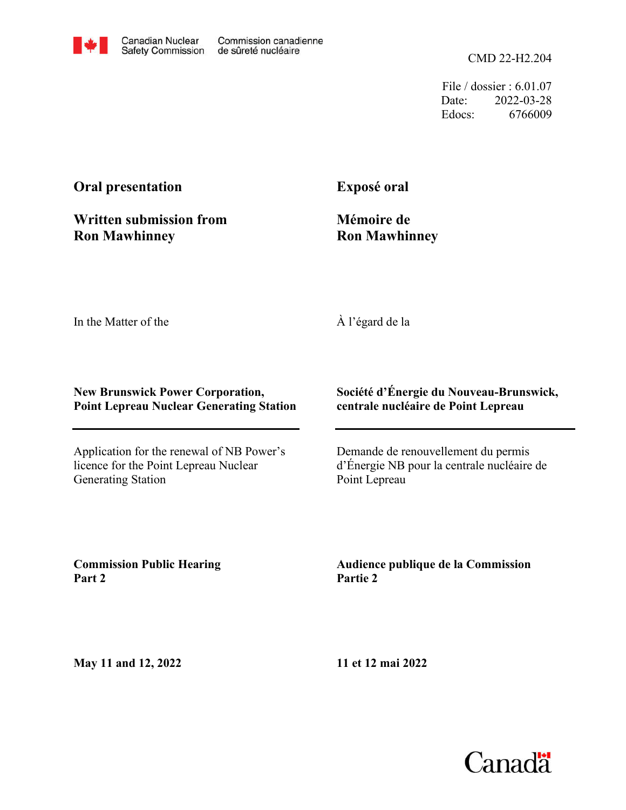

File / dossier : 6.01.07 Date: 2022-03-28 Edocs: 6766009

# **Oral presentation**

**Written submission from Ron Mawhinney**

**Exposé oral**

**Mémoire de Ron Mawhinney**

In the Matter of the

À l'égard de la

#### **New Brunswick Power Corporation, Point Lepreau Nuclear Generating Station**

Application for the renewal of NB Power's licence for the Point Lepreau Nuclear Generating Station

#### **Société d'Énergie du Nouveau-Brunswick, centrale nucléaire de Point Lepreau**

Demande de renouvellement du permis d'Énergie NB pour la centrale nucléaire de Point Lepreau

**Commission Public Hearing Part 2**

**Audience publique de la Commission Partie 2**

**May 11 and 12, 2022**

**11 et 12 mai 2022**

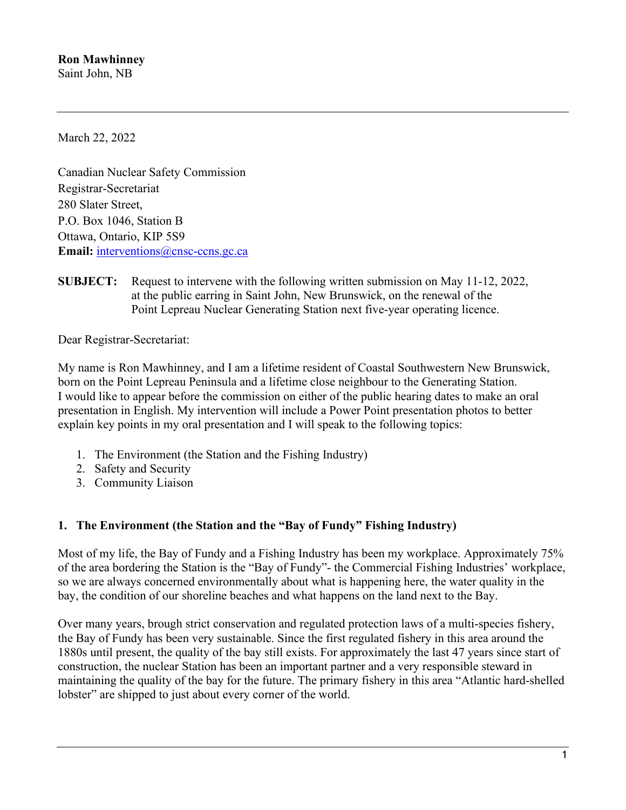March 22, 2022

Canadian Nuclear Safety Commission Registrar-Secretariat 280 Slater Street, P.O. Box 1046, Station B Ottawa, Ontario, KIP 5S9 **Email:** [interventions@cnsc-ccns.gc.ca](mailto:interventions@cnsc-ccns.gc.ca)

**SUBJECT:** Request to intervene with the following written submission on May 11-12, 2022, at the public earring in Saint John, New Brunswick, on the renewal of the Point Lepreau Nuclear Generating Station next five-year operating licence.

Dear Registrar-Secretariat:

My name is Ron Mawhinney, and I am a lifetime resident of Coastal Southwestern New Brunswick, born on the Point Lepreau Peninsula and a lifetime close neighbour to the Generating Station. I would like to appear before the commission on either of the public hearing dates to make an oral presentation in English. My intervention will include a Power Point presentation photos to better explain key points in my oral presentation and I will speak to the following topics:

- 1. The Environment (the Station and the Fishing Industry)
- 2. Safety and Security
- 3. Community Liaison

## **1. The Environment (the Station and the "Bay of Fundy" Fishing Industry)**

Most of my life, the Bay of Fundy and a Fishing Industry has been my workplace. Approximately 75% of the area bordering the Station is the "Bay of Fundy"- the Commercial Fishing Industries' workplace, so we are always concerned environmentally about what is happening here, the water quality in the bay, the condition of our shoreline beaches and what happens on the land next to the Bay.

Over many years, brough strict conservation and regulated protection laws of a multi-species fishery, the Bay of Fundy has been very sustainable. Since the first regulated fishery in this area around the 1880s until present, the quality of the bay still exists. For approximately the last 47 years since start of construction, the nuclear Station has been an important partner and a very responsible steward in maintaining the quality of the bay for the future. The primary fishery in this area "Atlantic hard-shelled lobster" are shipped to just about every corner of the world.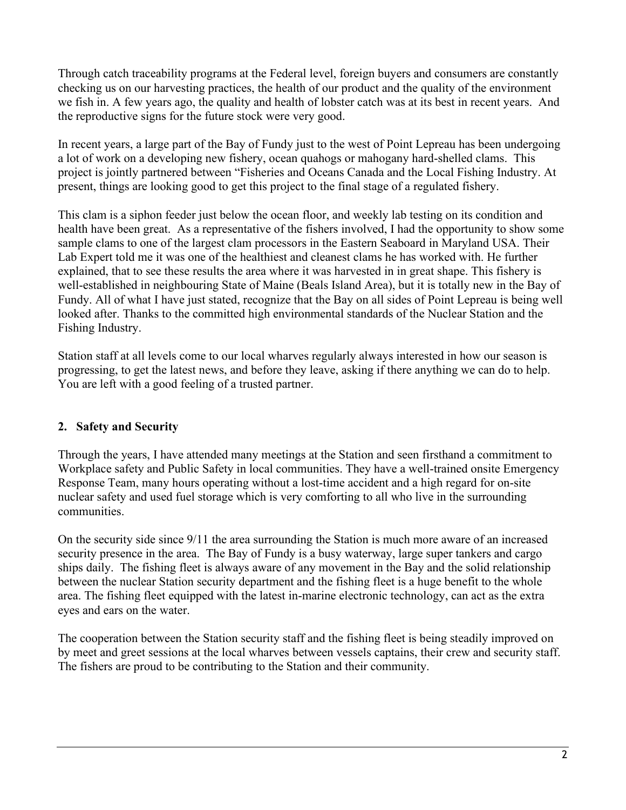Through catch traceability programs at the Federal level, foreign buyers and consumers are constantly checking us on our harvesting practices, the health of our product and the quality of the environment we fish in. A few years ago, the quality and health of lobster catch was at its best in recent years. And the reproductive signs for the future stock were very good.

In recent years, a large part of the Bay of Fundy just to the west of Point Lepreau has been undergoing a lot of work on a developing new fishery, ocean quahogs or mahogany hard-shelled clams. This project is jointly partnered between "Fisheries and Oceans Canada and the Local Fishing Industry. At present, things are looking good to get this project to the final stage of a regulated fishery.

This clam is a siphon feeder just below the ocean floor, and weekly lab testing on its condition and health have been great. As a representative of the fishers involved, I had the opportunity to show some sample clams to one of the largest clam processors in the Eastern Seaboard in Maryland USA. Their Lab Expert told me it was one of the healthiest and cleanest clams he has worked with. He further explained, that to see these results the area where it was harvested in in great shape. This fishery is well-established in neighbouring State of Maine (Beals Island Area), but it is totally new in the Bay of Fundy. All of what I have just stated, recognize that the Bay on all sides of Point Lepreau is being well looked after. Thanks to the committed high environmental standards of the Nuclear Station and the Fishing Industry.

Station staff at all levels come to our local wharves regularly always interested in how our season is progressing, to get the latest news, and before they leave, asking if there anything we can do to help. You are left with a good feeling of a trusted partner.

## **2. Safety and Security**

Through the years, I have attended many meetings at the Station and seen firsthand a commitment to Workplace safety and Public Safety in local communities. They have a well-trained onsite Emergency Response Team, many hours operating without a lost-time accident and a high regard for on-site nuclear safety and used fuel storage which is very comforting to all who live in the surrounding communities.

On the security side since 9/11 the area surrounding the Station is much more aware of an increased security presence in the area. The Bay of Fundy is a busy waterway, large super tankers and cargo ships daily. The fishing fleet is always aware of any movement in the Bay and the solid relationship between the nuclear Station security department and the fishing fleet is a huge benefit to the whole area. The fishing fleet equipped with the latest in-marine electronic technology, can act as the extra eyes and ears on the water.

The cooperation between the Station security staff and the fishing fleet is being steadily improved on by meet and greet sessions at the local wharves between vessels captains, their crew and security staff. The fishers are proud to be contributing to the Station and their community.